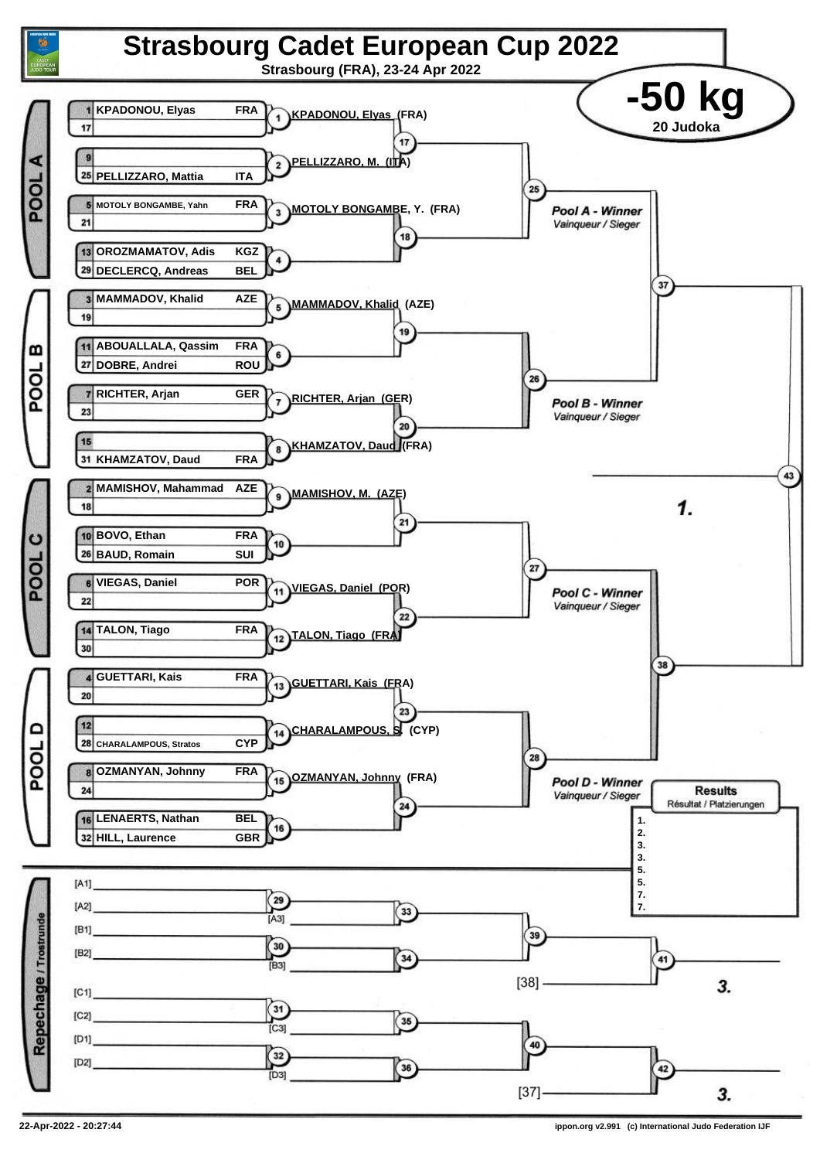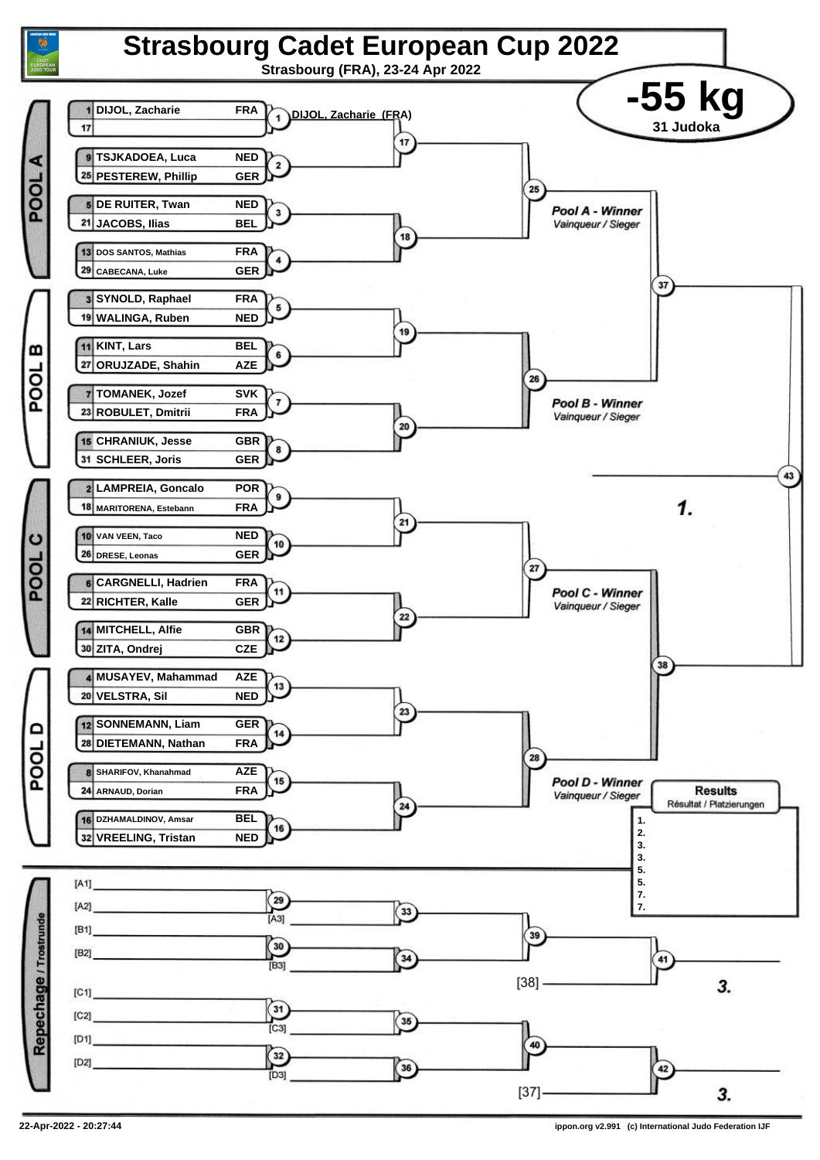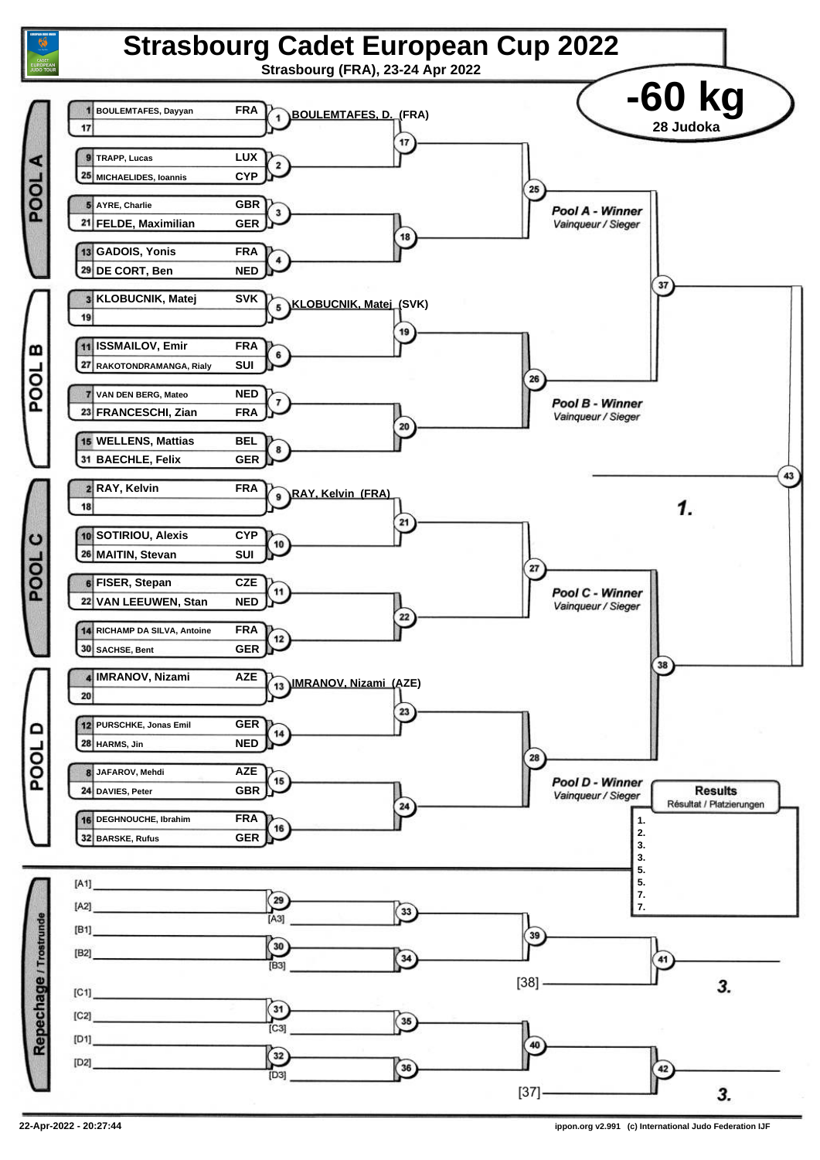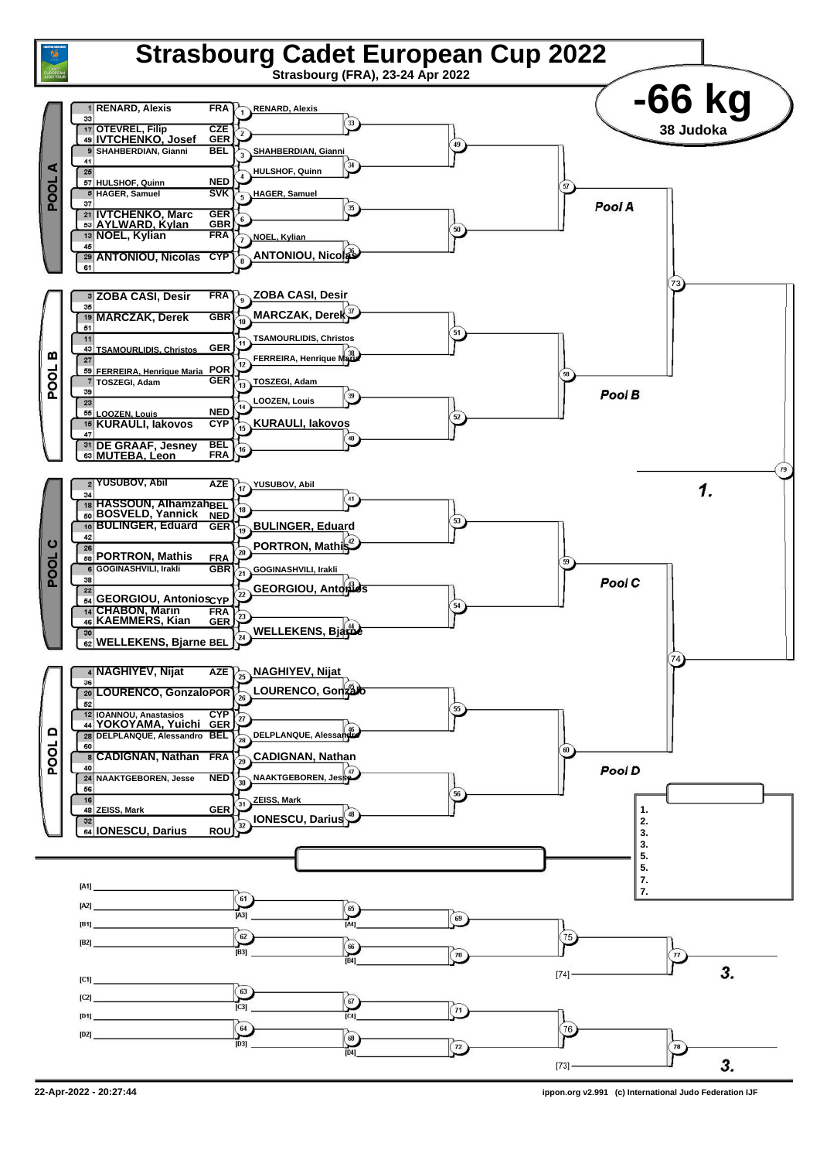

**<sup>22-</sup>Apr-2022 - 20:27:44 ippon.org v2.991 (c) International Judo Federation IJF**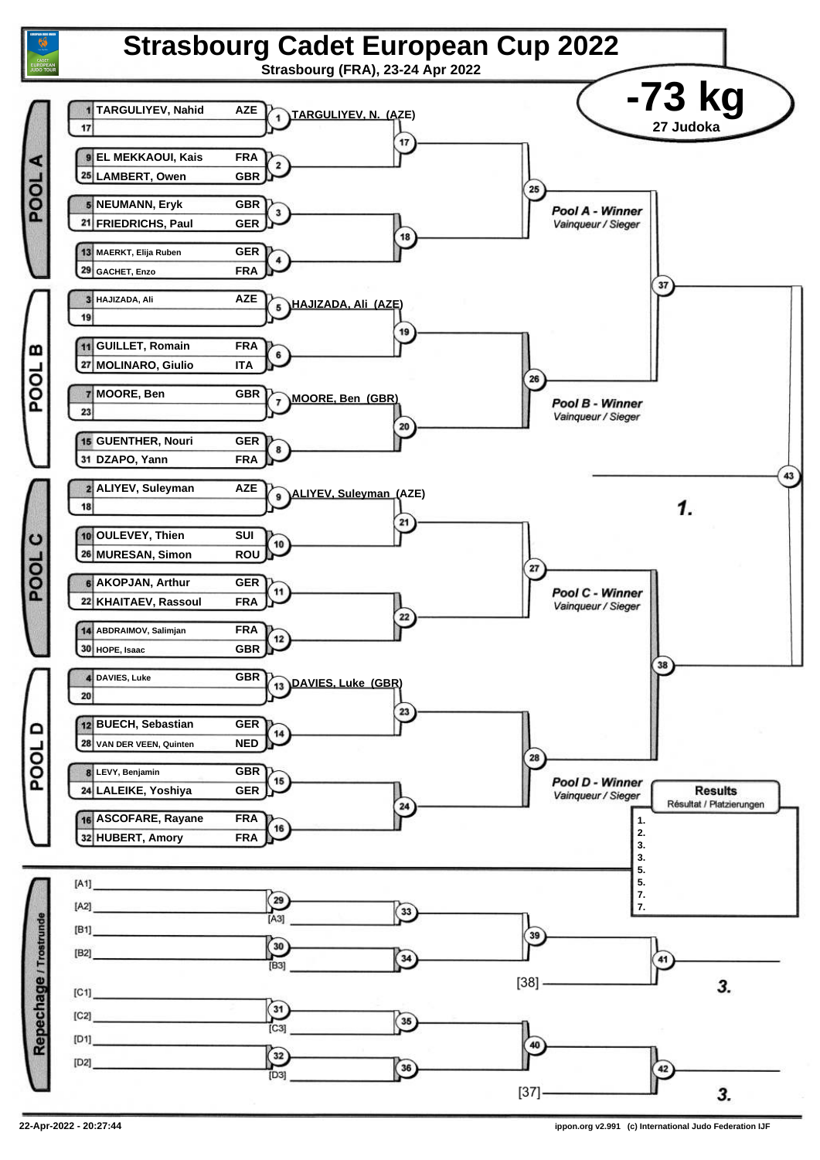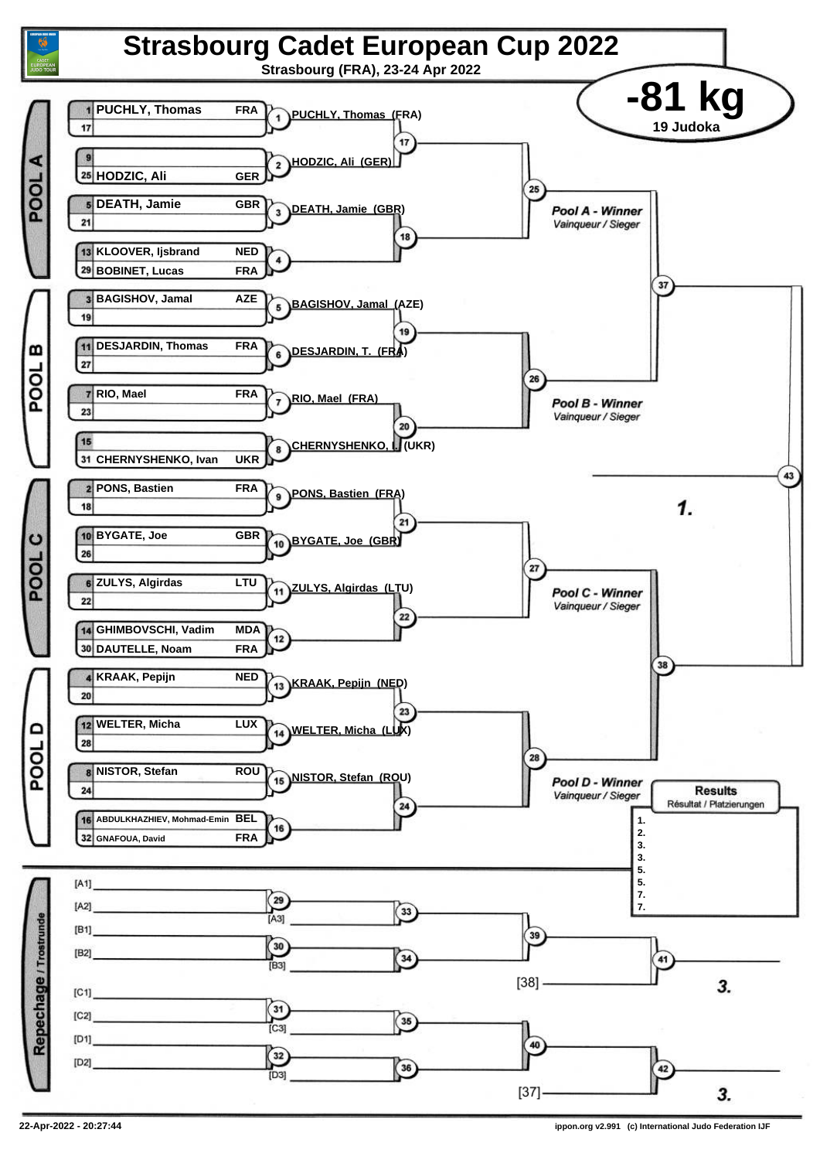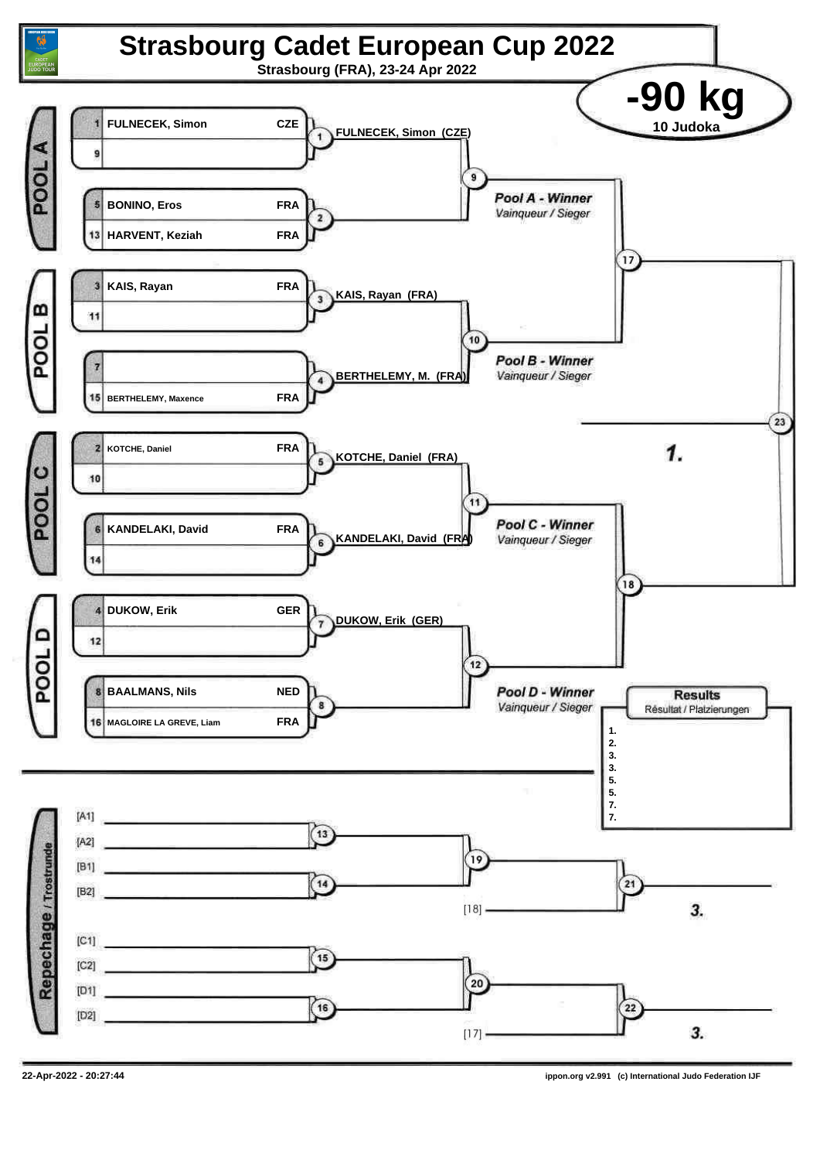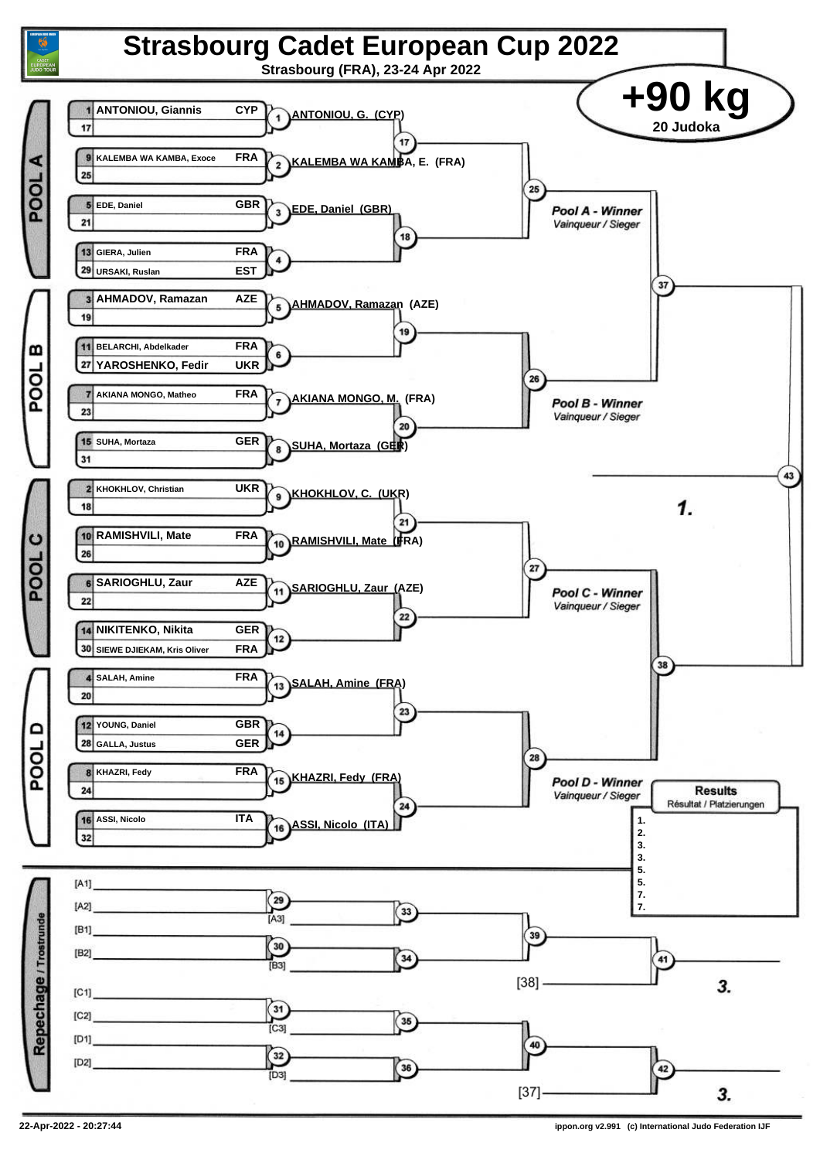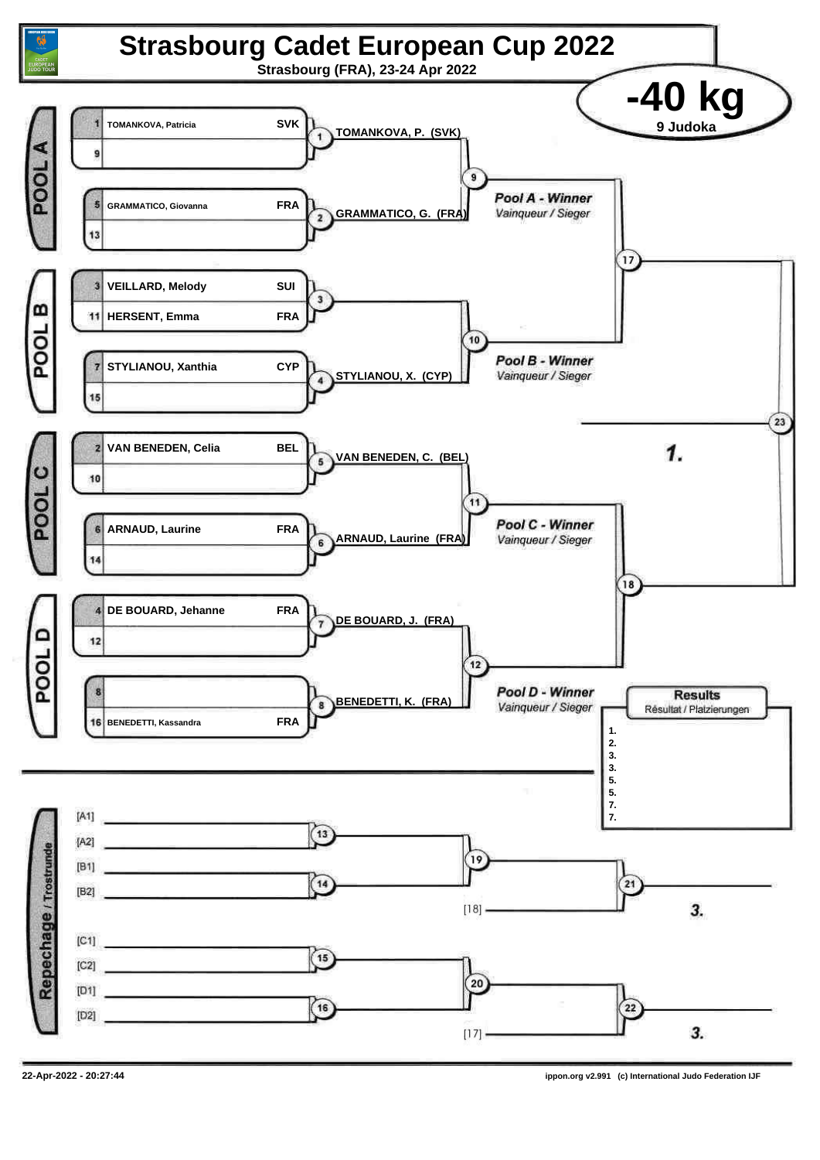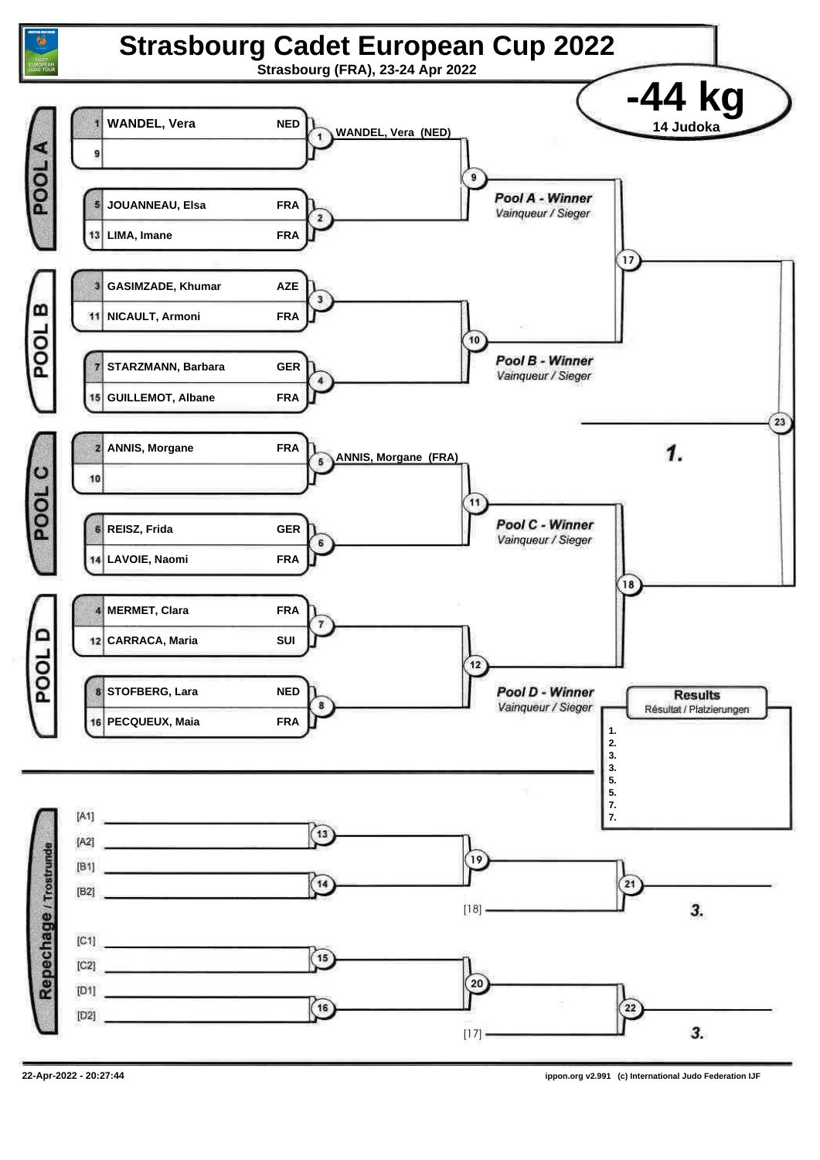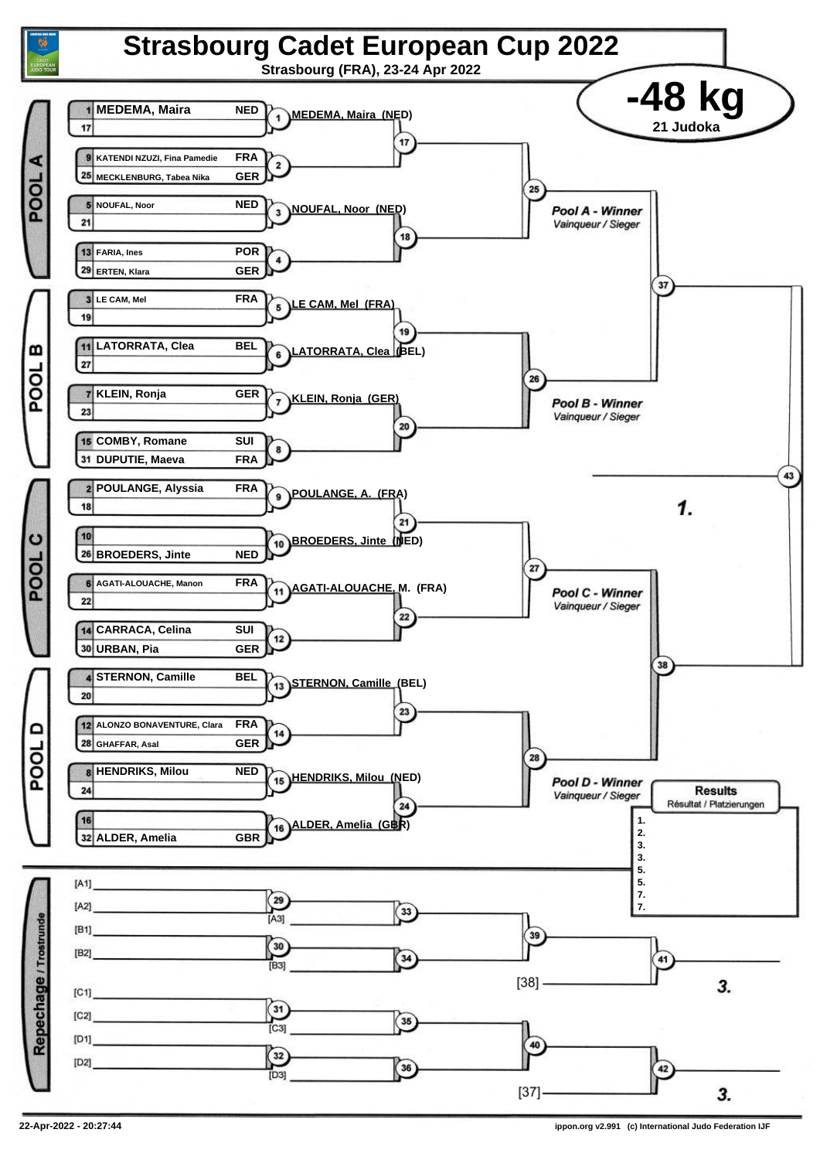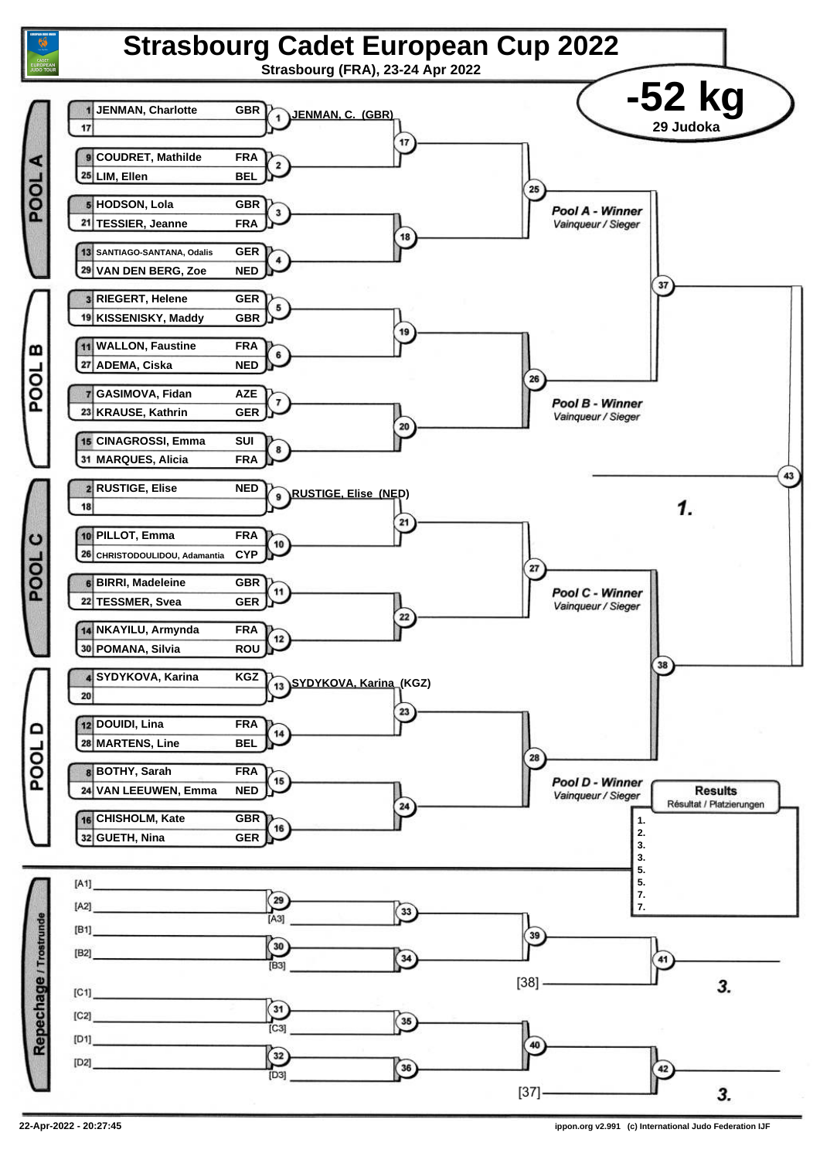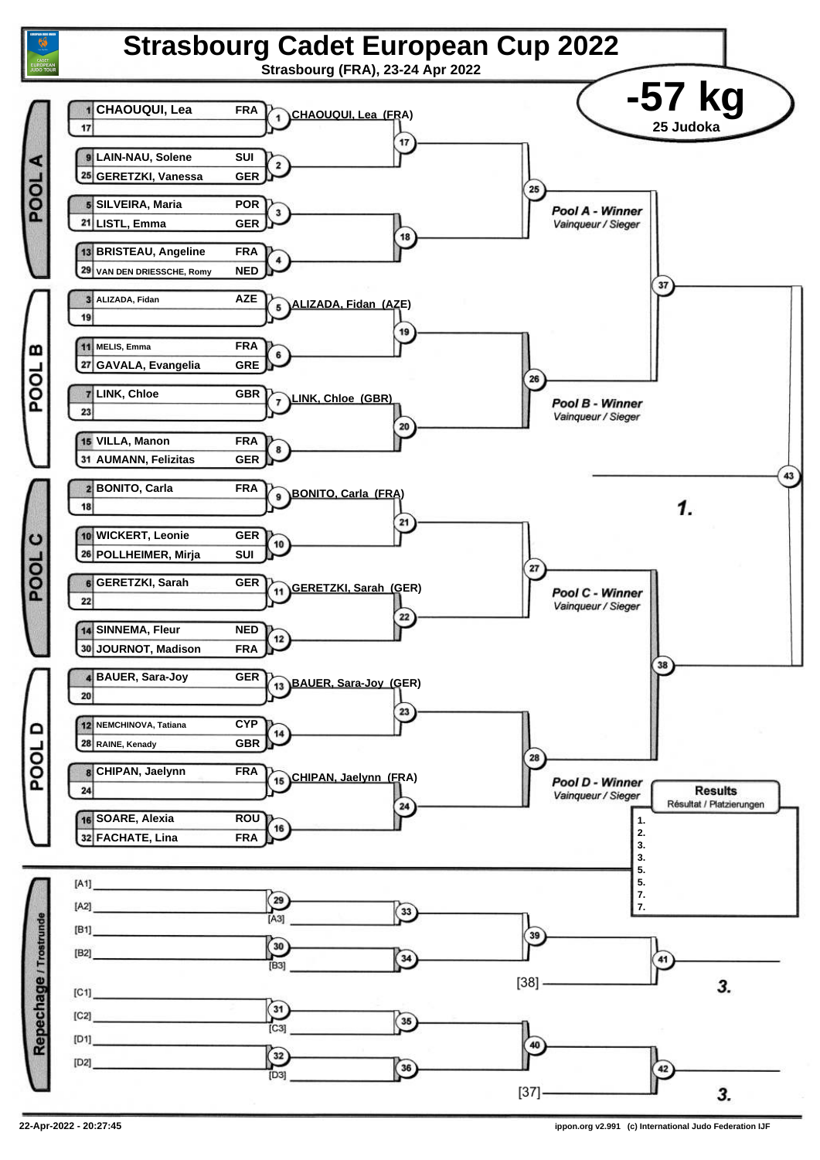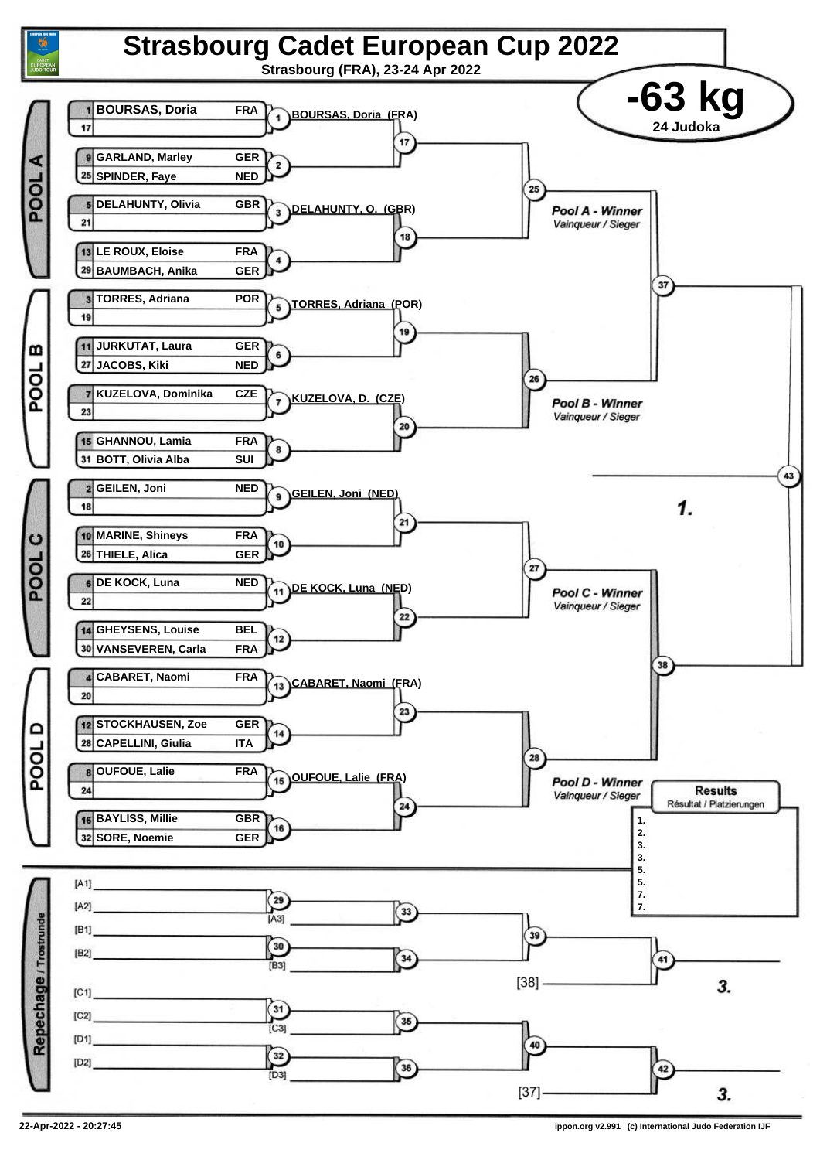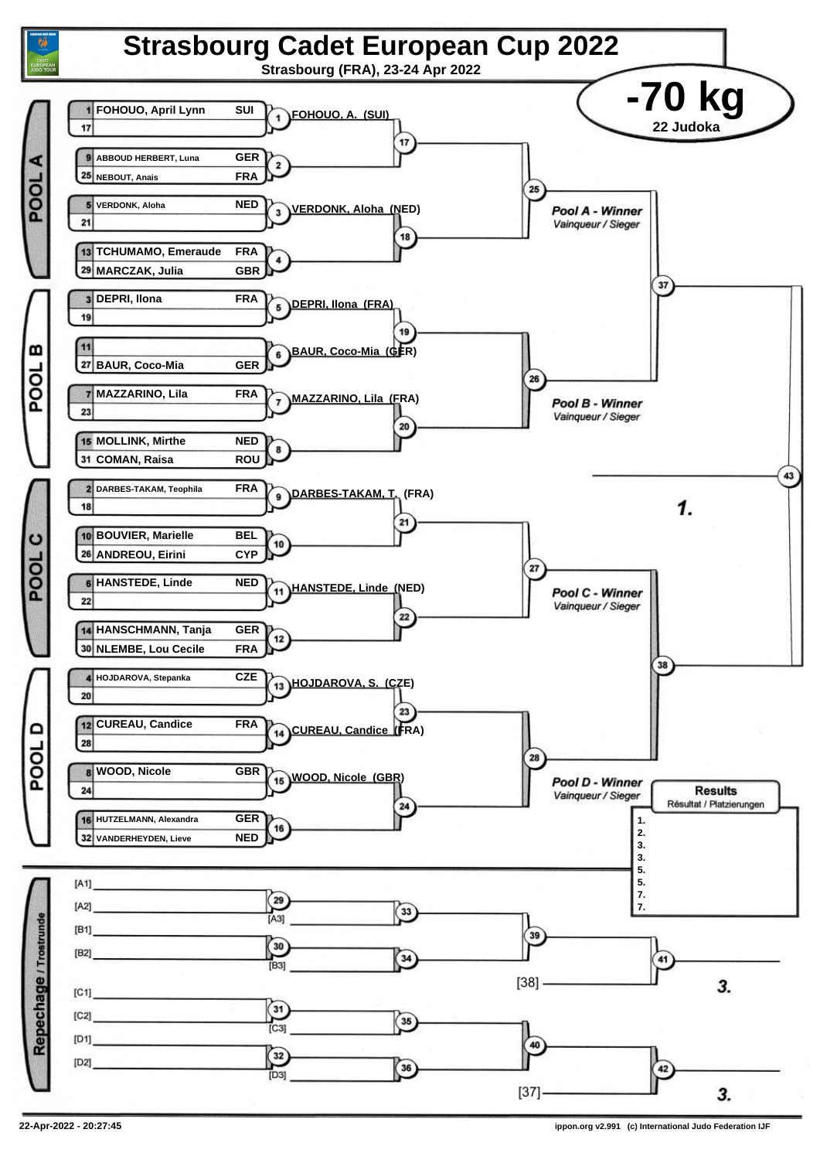